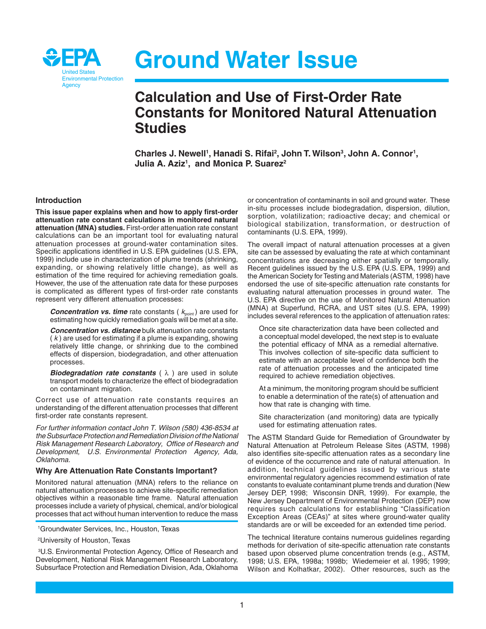

# **Ground Water Issue**

# **Calculation and Use of First-Order Rate Constants for Monitored Natural Attenuation Studies**

Charles J. Newell<sup>1</sup>, Hanadi S. Rifai<sup>2</sup>, John T. Wilson<sup>3</sup>, John A. Connor<sup>1</sup>, **Julia A. Aziz1, and Monica P. Suarez2** 

#### **Introduction**

**This issue paper explains when and how to apply first-order attenuation rate constant calculations in monitored natural attenuation (MNA) studies.** First-order attenuation rate constant calculations can be an important tool for evaluating natural attenuation processes at ground-water contamination sites. Specific applications identified in U.S. EPA guidelines (U.S. EPA, 1999) include use in characterization of plume trends (shrinking, expanding, or showing relatively little change), as well as estimation of the time required for achieving remediation goals. However, the use of the attenuation rate data for these purposes is complicated as different types of first-order rate constants represent very different attenuation processes:

**Concentration vs. time** rate constants ( $k_{\text{point}}$ ) are used for estimating how quickly remediation goals will be met at a site.

**Concentration vs. distance** bulk attenuation rate constants  $(k)$  are used for estimating if a plume is expanding, showing relatively little change, or shrinking due to the combined effects of dispersion, biodegradation, and other attenuation processes.

**Biodegradation rate constants** ( λ ) are used in solute transport models to characterize the effect of biodegradation on contaminant migration.

Correct use of attenuation rate constants requires an understanding of the different attenuation processes that different first-order rate constants represent.

For further information contact John T. Wilson (580) 436-8534 at the Subsurface Protection and Remediation Division of the National Risk Management Research Laboratory, Office of Research and Development, U.S. Environmental Protection Agency, Ada, Oklahoma.

#### **Why Are Attenuation Rate Constants Important?**

Monitored natural attenuation (MNA) refers to the reliance on natural attenuation processes to achieve site-specific remediation objectives within a reasonable time frame. Natural attenuation processes include a variety of physical, chemical, and/or biological processes that act without human intervention to reduce the mass

2University of Houston, Texas

3 U.S. Environmental Protection Agency, Office of Research and Development, National Risk Management Research Laboratory, Subsurface Protection and Remediation Division, Ada, Oklahoma

or concentration of contaminants in soil and ground water. These in-situ processes include biodegradation, dispersion, dilution, sorption, volatilization; radioactive decay; and chemical or biological stabilization, transformation, or destruction of contaminants (U.S. EPA, 1999).

The overall impact of natural attenuation processes at a given site can be assessed by evaluating the rate at which contaminant concentrations are decreasing either spatially or temporally. Recent guidelines issued by the U.S. EPA (U.S. EPA, 1999) and the American Society for Testing and Materials (ASTM, 1998) have endorsed the use of site-specific attenuation rate constants for evaluating natural attenuation processes in ground water. The U.S. EPA directive on the use of Monitored Natural Attenuation (MNA) at Superfund, RCRA, and UST sites (U.S. EPA, 1999) includes several references to the application of attenuation rates:

Once site characterization data have been collected and a conceptual model developed, the next step is to evaluate the potential efficacy of MNA as a remedial alternative. This involves collection of site-specific data sufficient to estimate with an acceptable level of confidence both the rate of attenuation processes and the anticipated time required to achieve remediation objectives.

At a minimum, the monitoring program should be sufficient to enable a determination of the rate(s) of attenuation and how that rate is changing with time.

Site characterization (and monitoring) data are typically used for estimating attenuation rates.

The ASTM Standard Guide for Remediation of Groundwater by Natural Attenuation at Petroleum Release Sites (ASTM, 1998) also identifies site-specific attenuation rates as a secondary line of evidence of the occurrence and rate of natural attenuation. In addition, technical guidelines issued by various state environmental regulatory agencies recommend estimation of rate constants to evaluate contaminant plume trends and duration (New Jersey DEP, 1998; Wisconsin DNR, 1999). For example, the New Jersey Department of Environmental Protection (DEP) now requires such calculations for establishing "Classification Exception Areas (CEAs)" at sites where ground-water quality standards are or will be exceeded for an extended time period.

The technical literature contains numerous guidelines regarding methods for derivation of site-specific attenuation rate constants based upon observed plume concentration trends (e.g., ASTM, 1998; U.S. EPA, 1998a; 1998b; Wiedemeier et al. 1995; 1999; Wilson and Kolhatkar, 2002). Other resources, such as the

<sup>1</sup>Groundwater Services, Inc., Houston, Texas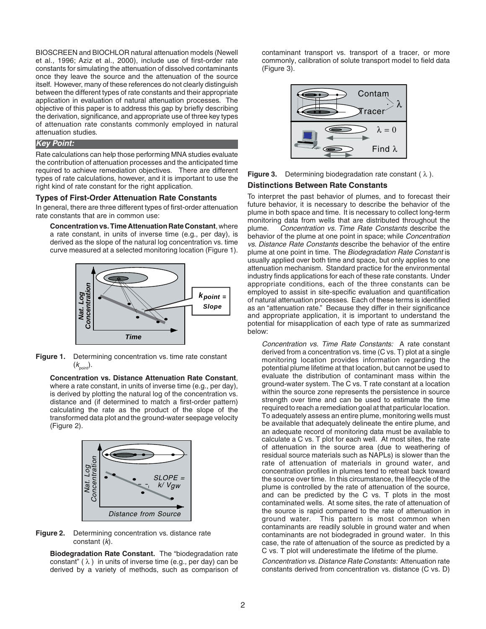BIOSCREEN and BIOCHLOR natural attenuation models (Newell et al., 1996; Aziz et al., 2000), include use of first-order rate constants for simulating the attenuation of dissolved contaminants once they leave the source and the attenuation of the source itself. However, many of these references do not clearly distinguish between the different types of rate constants and their appropriate application in evaluation of natural attenuation processes. The objective of this paper is to address this gap by briefly describing the derivation, significance, and appropriate use of three key types of attenuation rate constants commonly employed in natural attenuation studies.

#### **Key Point:**

Rate calculations can help those performing MNA studies evaluate the contribution of attenuation processes and the anticipated time required to achieve remediation objectives. There are different types of rate calculations, however, and it is important to use the right kind of rate constant for the right application.

#### **Types of First-Order Attenuation Rate Constants**

In general, there are three different types of first-order attenuation rate constants that are in common use:

**Concentration vs. Time Attenuation Rate Constant**, where a rate constant, in units of inverse time (e.g., per day), is derived as the slope of the natural log concentration vs. time curve measured at a selected monitoring location (Figure 1).



**Figure 1.** Determining concentration vs. time rate constant  $(k_{\text{point}})$ .

**Concentration vs. Distance Attenuation Rate Constant**, where a rate constant, in units of inverse time (e.g., per day), is derived by plotting the natural log of the concentration vs. distance and (if determined to match a first-order pattern) calculating the rate as the product of the slope of the transformed data plot and the ground-water seepage velocity (Figure 2).



**Figure 2.** Determining concentration vs. distance rate constant  $(k)$ .

**Biodegradation Rate Constant.** The "biodegradation rate constant"  $(\lambda)$  in units of inverse time (e.g., per day) can be derived by a variety of methods, such as comparison of contaminant transport vs. transport of a tracer, or more commonly, calibration of solute transport model to field data (Figure 3).



**Figure 3.** Determining biodegradation rate constant ( λ ).

#### **Distinctions Between Rate Constants**

To interpret the past behavior of plumes, and to forecast their future behavior, it is necessary to describe the behavior of the plume in both space and time. It is necessary to collect long-term monitoring data from wells that are distributed throughout the plume. Concentration vs. Time Rate Constants describe the behavior of the plume at one point in space; while Concentration vs. Distance Rate Constants describe the behavior of the entire plume at one point in time. The Biodegradation Rate Constant is usually applied over both time and space, but only applies to one attenuation mechanism. Standard practice for the environmental industry finds applications for each of these rate constants. Under appropriate conditions, each of the three constants can be employed to assist in site-specific evaluation and quantification of natural attenuation processes. Each of these terms is identified as an "attenuation rate." Because they differ in their significance and appropriate application, it is important to understand the potential for misapplication of each type of rate as summarized below:

Concentration vs. Time Rate Constants: A rate constant derived from a concentration vs. time (C vs. T) plot at a single monitoring location provides information regarding the potential plume lifetime at that location, but cannot be used to evaluate the distribution of contaminant mass within the ground-water system. The C vs. T rate constant at a location within the source zone represents the persistence in source strength over time and can be used to estimate the time required to reach a remediation goal at that particular location. To adequately assess an entire plume, monitoring wells must be available that adequately delineate the entire plume, and an adequate record of monitoring data must be available to calculate a C vs. T plot for each well. At most sites, the rate of attenuation in the source area (due to weathering of residual source materials such as NAPLs) is slower than the rate of attenuation of materials in ground water, and concentration profiles in plumes tend to retreat back toward the source over time. In this circumstance, the lifecycle of the plume is controlled by the rate of attenuation of the source, and can be predicted by the C vs. T plots in the most contaminated wells. At some sites, the rate of attenuation of the source is rapid compared to the rate of attenuation in ground water. This pattern is most common when contaminants are readily soluble in ground water and when contaminants are not biodegraded in ground water. In this case, the rate of attenuation of the source as predicted by a C vs. T plot will underestimate the lifetime of the plume.

Concentration vs. Distance Rate Constants: Attenuation rate constants derived from concentration vs. distance (C vs. D)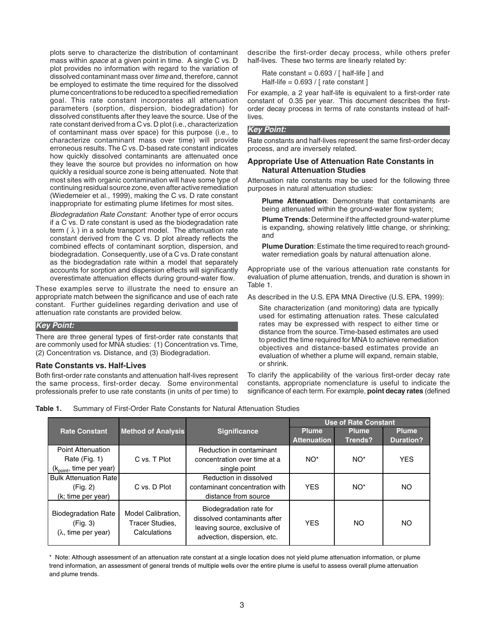plots serve to characterize the distribution of contaminant mass within *space* at a given point in time. A single C vs. D plot provides no information with regard to the variation of dissolved contaminant mass over time and, therefore, cannot be employed to estimate the time required for the dissolved plume concentrations to be reduced to a specified remediation goal. This rate constant incorporates all attenuation parameters (sorption, dispersion, biodegradation) for dissolved constituents after they leave the source. Use of the rate constant derived from a C vs. D plot (i.e., characterization of contaminant mass over space) for this purpose (i.e., to characterize contaminant mass over time) will provide erroneous results. The C vs. D-based rate constant indicates how quickly dissolved contaminants are attenuated once they leave the source but provides no information on how quickly a residual source zone is being attenuated. Note that most sites with organic contamination will have some type of continuing residual source zone, even after active remediation (Wiedemeier et al., 1999), making the C vs. D rate constant inappropriate for estimating plume lifetimes for most sites.

Biodegradation Rate Constant: Another type of error occurs if a C vs. D rate constant is used as the biodegradation rate term  $(\lambda)$  in a solute transport model. The attenuation rate constant derived from the C vs. D plot already reflects the combined effects of contaminant sorption, dispersion, and biodegradation. Consequently, use of a C vs. D rate constant as the biodegradation rate within a model that separately accounts for sorption and dispersion effects will significantly overestimate attenuation effects during ground-water flow.

These examples serve to illustrate the need to ensure an appropriate match between the significance and use of each rate constant. Further guidelines regarding derivation and use of attenuation rate constants are provided below.

#### **Key Point:**

There are three general types of first-order rate constants that are commonly used for MNA studies: (1) Concentration vs.Time, (2) Concentration vs. Distance, and (3) Biodegradation.

#### **Rate Constants vs. Half-Lives**

Both first-order rate constants and attenuation half-lives represent the same process, first-order decay. Some environmental professionals prefer to use rate constants (in units of per time) to describe the first-order decay process, while others prefer half-lives. These two terms are linearly related by:

Rate constant =  $0.693 /$  [ half-life ] and Half-life =  $0.693 /$  [ rate constant ]

For example, a 2 year half-life is equivalent to a first-order rate constant of 0.35 per year. This document describes the firstorder decay process in terms of rate constants instead of halflives.

#### **Key Point:**

Rate constants and half-lives represent the same first-order decay process, and are inversely related.

#### **Appropriate Use of Attenuation Rate Constants in Natural Attenuation Studies**

Attenuation rate constants may be used for the following three purposes in natural attenuation studies:

**Plume Attenuation**: Demonstrate that contaminants are being attenuated within the ground-water flow system;

**Plume Trends**: Determine if the affected ground-water plume is expanding, showing relatively little change, or shrinking; and

**Plume Duration**: Estimate the time required to reach groundwater remediation goals by natural attenuation alone.

Appropriate use of the various attenuation rate constants for evaluation of plume attenuation, trends, and duration is shown in Table 1.

As described in the U.S. EPA MNA Directive (U.S. EPA, 1999):

Site characterization (and monitoring) data are typically used for estimating attenuation rates. These calculated rates may be expressed with respect to either time or distance from the source.Time-based estimates are used to predict the time required for MNA to achieve remediation objectives and distance-based estimates provide an evaluation of whether a plume will expand, remain stable, or shrink.

To clarify the applicability of the various first-order decay rate constants, appropriate nomenclature is useful to indicate the significance of each term. For example, **point decay rates** (defined

| Table 1.<br>Summary of First-Order Rate Constants for Natural Attenuation Studies |
|-----------------------------------------------------------------------------------|
|-----------------------------------------------------------------------------------|

|                                                                              |                                                              |                                                                                                                        |                              | <b>Use of Rate Constant</b> |                            |
|------------------------------------------------------------------------------|--------------------------------------------------------------|------------------------------------------------------------------------------------------------------------------------|------------------------------|-----------------------------|----------------------------|
| <b>Rate Constant</b>                                                         | <b>Method of Analysis</b>                                    | <b>Significance</b>                                                                                                    | Plume.<br><b>Attenuation</b> | Plume<br>Trends?            | Plume,<br><b>Duration?</b> |
| Point Attenuation<br>Rate (Fig. 1)<br>$(k_{point}, time per year)$           | C vs. T Plot                                                 | Reduction in contaminant<br>concentration over time at a<br>single point                                               | NO <sup>*</sup>              | NO <sup>*</sup>             | <b>YES</b>                 |
| <b>Bulk Attenuation Rate</b><br>(Fig. 2)<br>(k; time per year)               | C vs. D Plot                                                 | Reduction in dissolved<br>contaminant concentration with<br>distance from source                                       | <b>YES</b>                   | NO <sup>*</sup>             | NO.                        |
| <b>Biodegradation Rate</b><br>(Fig. 3)<br>$(\lambda, \text{ time per year})$ | Model Calibration.<br><b>Tracer Studies.</b><br>Calculations | Biodegradation rate for<br>dissolved contaminants after<br>leaving source, exclusive of<br>advection, dispersion, etc. | <b>YES</b>                   | NO.                         | NO                         |

\* Note: Although assessment of an attenuation rate constant at a single location does not yield plume attenuation information, or plume trend information, an assessment of general trends of multiple wells over the entire plume is useful to assess overall plume attenuation and plume trends.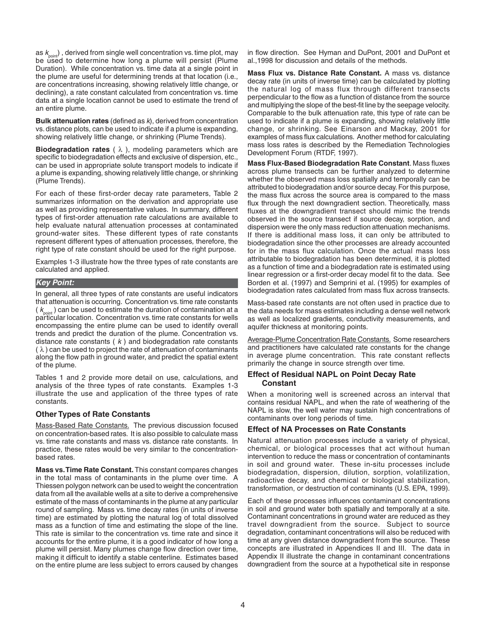as  $k_{\text{point}}$ ), derived from single well concentration vs. time plot, may be used to determine how long a plume will persist (Plume Duration). While concentration vs. time data at a single point in the plume are useful for determining trends at that location (i.e., are concentrations increasing, showing relatively little change, or declining), a rate constant calculated from concentration vs. time data at a single location cannot be used to estimate the trend of an entire plume.

**Bulk attenuation rates** (defined as k), derived from concentration vs. distance plots, can be used to indicate if a plume is expanding, showing relatively little change, or shrinking (Plume Trends).

**Biodegradation rates** ( λ ), modeling parameters which are specific to biodegradation effects and exclusive of dispersion, etc., can be used in appropriate solute transport models to indicate if a plume is expanding, showing relatively little change, or shrinking (Plume Trends).

For each of these first-order decay rate parameters, Table 2 summarizes information on the derivation and appropriate use as well as providing representative values. In summary, different types of first-order attenuation rate calculations are available to help evaluate natural attenuation processes at contaminated ground-water sites. These different types of rate constants represent different types of attenuation processes, therefore, the right type of rate constant should be used for the right purpose.

Examples 1-3 illustrate how the three types of rate constants are calculated and applied.

#### **Key Point:**

In general, all three types of rate constants are useful indicators that attenuation is occurring. Concentration vs. time rate constants  $(k_{\text{point}})$  can be used to estimate the duration of contamination at a particular location. Concentration vs. time rate constants for wells encompassing the entire plume can be used to identify overall trends and predict the duration of the plume. Concentration vs. distance rate constants  $(k)$  and biodegradation rate constants  $(\lambda)$  can be used to project the rate of attenuation of contaminants along the flow path in ground water, and predict the spatial extent of the plume.

Tables 1 and 2 provide more detail on use, calculations, and analysis of the three types of rate constants. Examples 1-3 illustrate the use and application of the three types of rate constants.

#### **Other Types of Rate Constants**

Mass-Based Rate Constants. The previous discussion focused on concentration-based rates. It is also possible to calculate mass vs. time rate constants and mass vs. distance rate constants. In practice, these rates would be very similar to the concentrationbased rates.

**Mass vs.Time Rate Constant.** This constant compares changes in the total mass of contaminants in the plume over time. A Thiessen polygon network can be used to weight the concentration data from all the available wells at a site to derive a comprehensive estimate of the mass of contaminants in the plume at any particular round of sampling. Mass vs. time decay rates (in units of inverse time) are estimated by plotting the natural log of total dissolved mass as a function of time and estimating the slope of the line. This rate is similar to the concentration vs. time rate and since it accounts for the entire plume, it is a good indicator of how long a plume will persist. Many plumes change flow direction over time, making it difficult to identify a stable centerline. Estimates based on the entire plume are less subject to errors caused by changes

in flow direction. See Hyman and DuPont, 2001 and DuPont et al.,1998 for discussion and details of the methods.

**Mass Flux vs. Distance Rate Constant.** A mass vs. distance decay rate (in units of inverse time) can be calculated by plotting the natural log of mass flux through different transects perpendicular to the flow as a function of distance from the source and multiplying the slope of the best-fit line by the seepage velocity. Comparable to the bulk attenuation rate, this type of rate can be used to indicate if a plume is expanding, showing relatively little change, or shrinking. See Einarson and Mackay, 2001 for examples of mass flux calculations. Another method for calculating mass loss rates is described by the Remediation Technologies Development Forum (RTDF, 1997).

**Mass Flux-Based Biodegradation Rate Constant**. Mass fluxes across plume transects can be further analyzed to determine whether the observed mass loss spatially and temporally can be attributed to biodegradation and/or source decay. For this purpose, the mass flux across the source area is compared to the mass flux through the next downgradient section. Theoretically, mass fluxes at the downgradient transect should mimic the trends observed in the source transect if source decay, sorption, and dispersion were the only mass reduction attenuation mechanisms. If there is additional mass loss, it can only be attributed to biodegradation since the other processes are already accounted for in the mass flux calculation. Once the actual mass loss attributable to biodegradation has been determined, it is plotted as a function of time and a biodegradation rate is estimated using linear regression or a first-order decay model fit to the data. See Borden et al. (1997) and Semprini et al. (1995) for examples of biodegradation rates calculated from mass flux across transects.

Mass-based rate constants are not often used in practice due to the data needs for mass estimates including a dense well network as well as localized gradients, conductivity measurements, and aquifer thickness at monitoring points.

Average-Plume Concentration Rate Constants. Some researchers and practitioners have calculated rate constants for the change in average plume concentration. This rate constant reflects primarily the change in source strength over time.

#### **Effect of Residual NAPL on Point Decay Rate Constant**

When a monitoring well is screened across an interval that contains residual NAPL, and when the rate of weathering of the NAPL is slow, the well water may sustain high concentrations of contaminants over long periods of time.

#### **Effect of NA Processes on Rate Constants**

Natural attenuation processes include a variety of physical, chemical, or biological processes that act without human intervention to reduce the mass or concentration of contaminants in soil and ground water. These in-situ processes include biodegradation, dispersion, dilution, sorption, volatilization, radioactive decay, and chemical or biological stabilization, transformation, or destruction of contaminants (U.S. EPA, 1999).

Each of these processes influences contaminant concentrations in soil and ground water both spatially and temporally at a site. Contaminant concentrations in ground water are reduced as they travel downgradient from the source. Subject to source degradation, contaminant concentrations will also be reduced with time at any given distance downgradient from the source. These concepts are illustrated in Appendices II and III. The data in Appendix II illustrate the change in contaminant concentrations downgradient from the source at a hypothetical site in response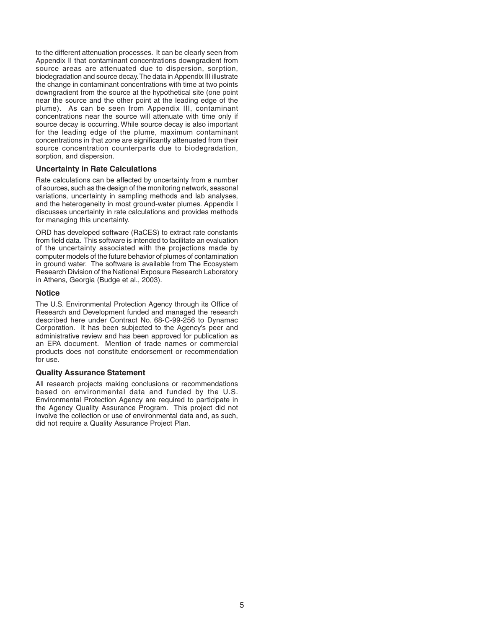to the different attenuation processes. It can be clearly seen from Appendix II that contaminant concentrations downgradient from source areas are attenuated due to dispersion, sorption, biodegradation and source decay.The data in Appendix III illustrate the change in contaminant concentrations with time at two points downgradient from the source at the hypothetical site (one point near the source and the other point at the leading edge of the plume). As can be seen from Appendix III, contaminant concentrations near the source will attenuate with time only if source decay is occurring. While source decay is also important for the leading edge of the plume, maximum contaminant concentrations in that zone are significantly attenuated from their source concentration counterparts due to biodegradation, sorption, and dispersion.

#### **Uncertainty in Rate Calculations**

Rate calculations can be affected by uncertainty from a number of sources, such as the design of the monitoring network, seasonal variations, uncertainty in sampling methods and lab analyses, and the heterogeneity in most ground-water plumes. Appendix I discusses uncertainty in rate calculations and provides methods for managing this uncertainty.

ORD has developed software (RaCES) to extract rate constants from field data. This software is intended to facilitate an evaluation of the uncertainty associated with the projections made by computer models of the future behavior of plumes of contamination in ground water. The software is available from The Ecosystem Research Division of the National Exposure Research Laboratory in Athens, Georgia (Budge et al., 2003).

#### **Notice**

The U.S. Environmental Protection Agency through its Office of Research and Development funded and managed the research described here under Contract No. 68-C-99-256 to Dynamac Corporation. It has been subjected to the Agency's peer and administrative review and has been approved for publication as an EPA document. Mention of trade names or commercial products does not constitute endorsement or recommendation for use.

#### **Quality Assurance Statement**

All research projects making conclusions or recommendations based on environmental data and funded by the U.S. Environmental Protection Agency are required to participate in the Agency Quality Assurance Program. This project did not involve the collection or use of environmental data and, as such, did not require a Quality Assurance Project Plan.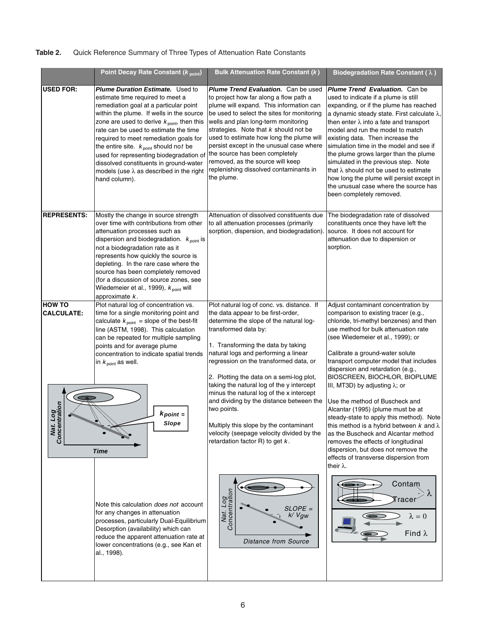# **Table 2.** Quick Reference Summary of Three Types of Attenuation Rate Constants

|                                                                                    | Point Decay Rate Constant (Kpoint)                                                                                                                                                                                                                                                                                                                                                                                                                                                                                           | <b>Bulk Attenuation Rate Constant (k)</b>                                                                                                                                                                                                                                                                                                                                                                                                                                                                                                                                                                | Biodegradation Rate Constant ( $\lambda$ )                                                                                                                                                                                                                                                                                                                                                                                                                                                                                                                                                                                                                                                                                                                  |
|------------------------------------------------------------------------------------|------------------------------------------------------------------------------------------------------------------------------------------------------------------------------------------------------------------------------------------------------------------------------------------------------------------------------------------------------------------------------------------------------------------------------------------------------------------------------------------------------------------------------|----------------------------------------------------------------------------------------------------------------------------------------------------------------------------------------------------------------------------------------------------------------------------------------------------------------------------------------------------------------------------------------------------------------------------------------------------------------------------------------------------------------------------------------------------------------------------------------------------------|-------------------------------------------------------------------------------------------------------------------------------------------------------------------------------------------------------------------------------------------------------------------------------------------------------------------------------------------------------------------------------------------------------------------------------------------------------------------------------------------------------------------------------------------------------------------------------------------------------------------------------------------------------------------------------------------------------------------------------------------------------------|
| <b>USED FOR:</b>                                                                   | <b>Plume Duration Estimate.</b> Used to<br>estimate time required to meet a<br>remediation goal at a particular point<br>within the plume. If wells in the source<br>zone are used to derive $k_{\text{point}}$ , then this<br>rate can be used to estimate the time<br>required to meet remediation goals for<br>the entire site. $k_{\text{point}}$ should not be<br>used for representing biodegradation of<br>dissolved constituents in ground-water<br>models (use $\lambda$ as described in the right<br>hand column). | <b>Plume Trend Evaluation.</b> Can be used<br>to project how far along a flow path a<br>plume will expand. This information can<br>be used to select the sites for monitoring<br>wells and plan long-term monitoring<br>strategies. Note that $k$ should not be<br>used to estimate how long the plume will<br>persist except in the unusual case where<br>the source has been completely<br>removed, as the source will keep<br>replenishing dissolved contaminants in<br>the plume.                                                                                                                    | Plume Trend Evaluation. Can be<br>used to indicate if a plume is still<br>expanding, or if the plume has reached<br>a dynamic steady state. First calculate $\lambda$ ,<br>then enter $\lambda$ into a fate and transport<br>model and run the model to match<br>existing data. Then increase the<br>simulation time in the model and see if<br>the plume grows larger than the plume<br>simulated in the previous step. Note<br>that $\lambda$ should not be used to estimate<br>how long the plume will persist except in<br>the unusual case where the source has<br>been completely removed.                                                                                                                                                            |
| <b>REPRESENTS:</b>                                                                 | Mostly the change in source strength<br>over time with contributions from other<br>attenuation processes such as<br>dispersion and biodegradation. $k_{\text{point}}$ is<br>not a biodegradation rate as it<br>represents how quickly the source is<br>depleting. In the rare case where the<br>source has been completely removed<br>(for a discussion of source zones, see<br>Wiedemeier et al., 1999), $k_{\text{point}}$ will<br>approximate $k$ .                                                                       | Attenuation of dissolved constituents due<br>to all attenuation processes (primarily<br>sorption, dispersion, and biodegradation).                                                                                                                                                                                                                                                                                                                                                                                                                                                                       | The biodegradation rate of dissolved<br>constituents once they have left the<br>source. It does not account for<br>attenuation due to dispersion or<br>sorption.                                                                                                                                                                                                                                                                                                                                                                                                                                                                                                                                                                                            |
| <b>HOW TO</b><br><b>CALCULATE:</b><br>Log<br><sub>Itration</sub><br>Nat.<br>Concen | Plot natural log of concentration vs.<br>time for a single monitoring point and<br>calculate $k_{\text{point}}$ = slope of the best-fit<br>line (ASTM, 1998). This calculation<br>can be repeated for multiple sampling<br>points and for average plume<br>concentration to indicate spatial trends<br>in $k_{\text{point}}$ as well.<br>$k$ point $=$<br>Slope<br><b>Time</b>                                                                                                                                               | Plot natural log of conc. vs. distance. If<br>the data appear to be first-order,<br>determine the slope of the natural log-<br>transformed data by:<br>1. Transforming the data by taking<br>natural logs and performing a linear<br>regression on the transformed data, or<br>2. Plotting the data on a semi-log plot,<br>taking the natural log of the y intercept<br>minus the natural log of the x intercept<br>and dividing by the distance between the<br>two points.<br>Multiply this slope by the contaminant<br>velocity (seepage velocity divided by the<br>retardation factor R) to get $k$ . | Adjust contaminant concentration by<br>comparison to existing tracer (e.g.,<br>chloride, tri-methyl benzenes) and then<br>use method for bulk attenuation rate<br>(see Wiedemeier et al., 1999); or<br>Calibrate a ground-water solute<br>transport computer model that includes<br>dispersion and retardation (e.g.,<br>BIOSCREEN, BIOCHLOR, BIOPLUME<br>III, MT3D) by adjusting $\lambda$ ; or<br>Use the method of Buscheck and<br>Alcantar (1995) (plume must be at<br>steady-state to apply this method). Note<br>this method is a hybrid between $k$ and $\lambda$<br>as the Buscheck and Alcantar method<br>removes the effects of longitudinal<br>dispersion, but does not remove the<br>effects of transverse dispersion from<br>their $\lambda$ . |
|                                                                                    | Note this calculation <i>does not</i> account<br>for any changes in attenuation<br>processes, particularly Dual-Equilibrium<br>Desorption (availability) which can<br>reduce the apparent attenuation rate at<br>lower concentrations (e.g., see Kan et<br>al., 1998).                                                                                                                                                                                                                                                       | Nat. Log<br>Concentration<br>$SLOPE =$<br>k/Vgw<br><b>Distance from Source</b>                                                                                                                                                                                                                                                                                                                                                                                                                                                                                                                           | Contam<br>$\mathsf{Trace}$ i<br>$\lambda = 0$<br>Find $\lambda$                                                                                                                                                                                                                                                                                                                                                                                                                                                                                                                                                                                                                                                                                             |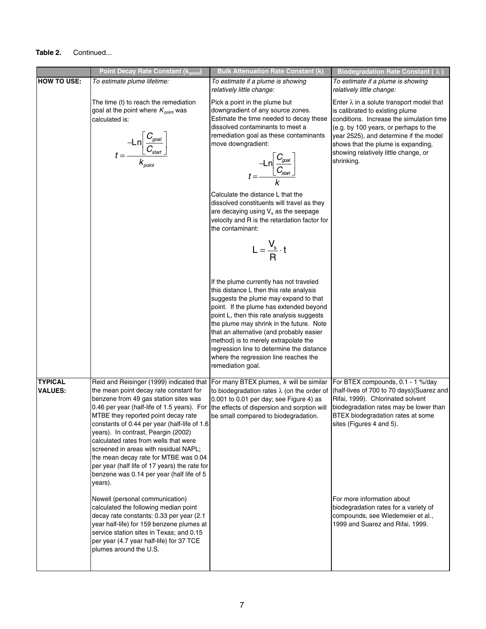#### **Table 2.** Continued...

|                                  | <b>Point Decay Rate Constant (k point)</b>                                                                                                                                                                                                                                                                                                                                                                                                                                                                                                                                                                                                                                                                                                                                              | <b>Bulk Attenuation Rate Constant (k)</b>                                                                                                                                                                                                                                                                                                                                                                                                                                                                                                                                                                                                                                                                                                                                                                                                                                                                                                                                    | Biodegradation Rate Constant (λ)                                                                                                                                                                                                                                                                                                                                                |
|----------------------------------|-----------------------------------------------------------------------------------------------------------------------------------------------------------------------------------------------------------------------------------------------------------------------------------------------------------------------------------------------------------------------------------------------------------------------------------------------------------------------------------------------------------------------------------------------------------------------------------------------------------------------------------------------------------------------------------------------------------------------------------------------------------------------------------------|------------------------------------------------------------------------------------------------------------------------------------------------------------------------------------------------------------------------------------------------------------------------------------------------------------------------------------------------------------------------------------------------------------------------------------------------------------------------------------------------------------------------------------------------------------------------------------------------------------------------------------------------------------------------------------------------------------------------------------------------------------------------------------------------------------------------------------------------------------------------------------------------------------------------------------------------------------------------------|---------------------------------------------------------------------------------------------------------------------------------------------------------------------------------------------------------------------------------------------------------------------------------------------------------------------------------------------------------------------------------|
| <b>HOW TO USE:</b>               | To estimate plume lifetime:                                                                                                                                                                                                                                                                                                                                                                                                                                                                                                                                                                                                                                                                                                                                                             | To estimate if a plume is showing<br>relatively little change:                                                                                                                                                                                                                                                                                                                                                                                                                                                                                                                                                                                                                                                                                                                                                                                                                                                                                                               | To estimate if a plume is showing<br>relatively little change:                                                                                                                                                                                                                                                                                                                  |
|                                  | The time (t) to reach the remediation<br>goal at the point where $K_{\text{point}}$ was<br>calculated is:<br>$t = \frac{-Ln\left[\frac{C_{goal}}{C_{start}}\right]}{K_{noint}}$                                                                                                                                                                                                                                                                                                                                                                                                                                                                                                                                                                                                         | Pick a point in the plume but<br>downgradient of any source zones.<br>Estimate the time needed to decay these<br>dissolved contaminants to meet a<br>remediation goal as these contaminants<br>move downgradient:<br>$t = \frac{-\text{Ln}\left[\frac{C_{goal}}{C_{start}}\right]}{T_{start}}$<br>Calculate the distance L that the<br>dissolved constituents will travel as they<br>are decaying using $V_s$ as the seepage<br>velocity and R is the retardation factor for<br>the contaminant:<br>$L = \frac{V_s}{R} \cdot t$<br>If the plume currently has not traveled<br>this distance L then this rate analysis<br>suggests the plume may expand to that<br>point. If the plume has extended beyond<br>point L, then this rate analysis suggests<br>the plume may shrink in the future. Note<br>that an alternative (and probably easier<br>method) is to merely extrapolate the<br>regression line to determine the distance<br>where the regression line reaches the | Enter $\lambda$ in a solute transport model that<br>is calibrated to existing plume<br>conditions. Increase the simulation time<br>(e.g. by 100 years, or perhaps to the<br>year 2525), and determine if the model<br>shows that the plume is expanding,<br>showing relatively little change, or<br>shrinking.                                                                  |
| <b>TYPICAL</b><br><b>VALUES:</b> | the mean point decay rate constant for<br>benzene from 49 gas station sites was<br>0.46 per year (half-life of 1.5 years). For<br>MTBE they reported point decay rate<br>constants of 0.44 per year (half-life of 1.6<br>years). In contrast, Peargin (2002)<br>calculated rates from wells that were<br>screened in areas with residual NAPL;<br>the mean decay rate for MTBE was 0.04<br>per year (half life of 17 years) the rate for<br>benzene was 0.14 per year (half life of 5<br>years).<br>Newell (personal communication)<br>calculated the following median point<br>decay rate constants: 0.33 per year (2.1<br>year half-life) for 159 benzene plumes at<br>service station sites in Texas; and 0.15<br>per year (4.7 year half-life) for 37 TCE<br>plumes around the U.S. | remediation goal.<br>Reid and Reisinger (1999) indicated that $ $ For many BTEX plumes, $k$ will be similar<br>to biodegradation rates $\lambda$ (on the order of<br>0.001 to 0.01 per day; see Figure 4) as<br>the effects of dispersion and sorption will<br>be small compared to biodegradation.                                                                                                                                                                                                                                                                                                                                                                                                                                                                                                                                                                                                                                                                          | For BTEX compounds, 0.1 - 1 %/day<br>(half-lives of 700 to 70 days) (Suarez and<br>Rifai, 1999). Chlorinated solvent<br>biodegradation rates may be lower than<br>BTEX biodegradation rates at some<br>sites (Figures 4 and 5).<br>For more information about<br>biodegradation rates for a variety of<br>compounds, see Wiedemeier et al.,<br>1999 and Suarez and Rifai, 1999. |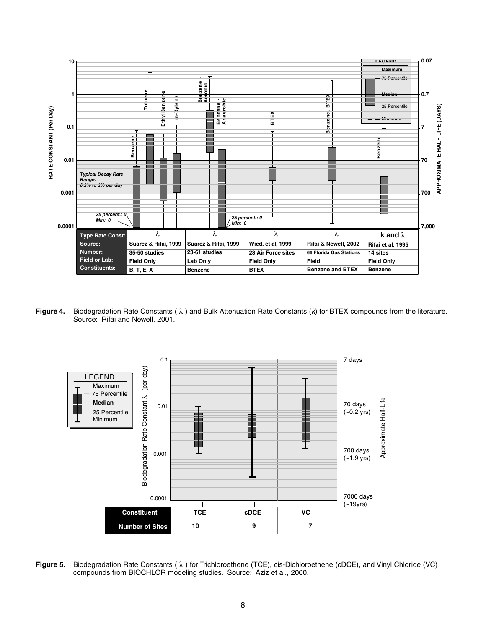

**Figure 4.** Biodegradation Rate Constants ( $\lambda$ ) and Bulk Attenuation Rate Constants ( $k$ ) for BTEX compounds from the literature. Source: Rifai and Newell, 2001.



**Figure 5.**  Biodegradation Rate Constants ( λ ) for Trichloroethene (TCE), cis-Dichloroethene (cDCE), and Vinyl Chloride (VC) compounds from BIOCHLOR modeling studies. Source: Aziz et al., 2000.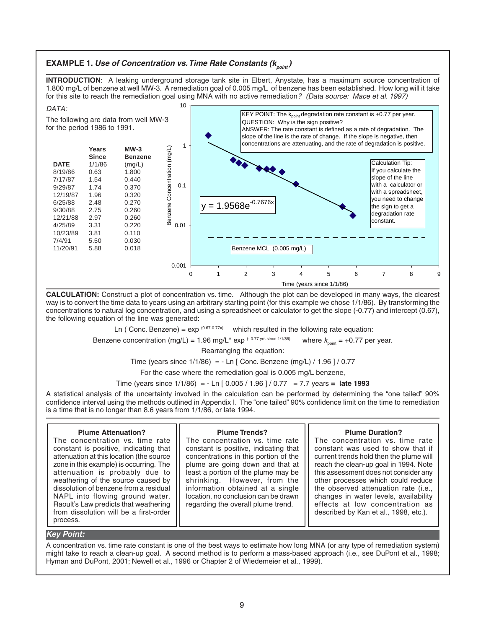### **EXAMPLE 1. Use of Concentration vs. Time Rate Constants (** $K_{point}$ **)**

**INTRODUCTION**: A leaking underground storage tank site in Elbert, Anystate, has a maximum source concentration of 1.800 mg/L of benzene at well MW-3. A remediation goal of 0.005 mg/L of benzene has been established. How long will it take for this site to reach the remediation goal using MNA with no active remediation? (Data source: Mace et al. 1997)



**CALCULATION:** Construct a plot of concentration vs. time. Although the plot can be developed in many ways, the clearest way is to convert the time data to years using an arbitrary starting point (for this example we chose 1/1/86). By transforming the concentrations to natural log concentration, and using a spreadsheet or calculator to get the slope (-0.77) and intercept (0.67), the following equation of the line was generated:

Ln ( Conc. Benzene) =  $\exp^{(0.67 \cdot 0.77x)}$  which resulted in the following rate equation:

Benzene concentration (mg/L) = 1.96 mg/L<sup>\*</sup> exp (-0.77 yrs since 1/1/86) where  $k_{\text{point}} = +0.77$  per year.

Rearranging the equation:

Time (years since  $1/1/86$ ) = - Ln [ Conc. Benzene (mg/L) / 1.96 ] / 0.77

For the case where the remediation goal is 0.005 mg/L benzene,

Time (years since 1/1/86) = - Ln [ 0.005 / 1.96 ] / 0.77 = 7.7 years = **late 1993** 

A statistical analysis of the uncertainty involved in the calculation can be performed by determining the "one tailed" 90% confidence interval using the methods outlined in Appendix I. The "one tailed" 90% confidence limit on the time to remediation is a time that is no longer than 8.6 years from 1/1/86, or late 1994.

#### **Plume Attenuation?**

The concentration vs. time rate constant is positive, indicating that attenuation at this location (the source zone in this example) is occurring. The attenuation is probably due to weathering of the source caused by dissolution of benzene from a residual NAPL into flowing ground water. Raoult's Law predicts that weathering from dissolution will be a first-order process.

#### **Plume Trends?**

The concentration vs. time rate constant is positive, indicating that concentrations in this portion of the plume are going down and that at least a portion of the plume may be shrinking. However, from the information obtained at a single location, no conclusion can be drawn regarding the overall plume trend.

#### **Plume Duration?**

The concentration vs. time rate constant was used to show that if current trends hold then the plume will reach the clean-up goal in 1994. Note this assessment does not consider any other processes which could reduce the observed attenuation rate (i.e., changes in water levels, availability effects at low concentration as described by Kan et al., 1998, etc.).

#### **Key Point:**

A concentration vs. time rate constant is one of the best ways to estimate how long MNA (or any type of remediation system) might take to reach a clean-up goal. A second method is to perform a mass-based approach (i.e., see DuPont et al., 1998; Hyman and DuPont, 2001; Newell et al., 1996 or Chapter 2 of Wiedemeier et al., 1999).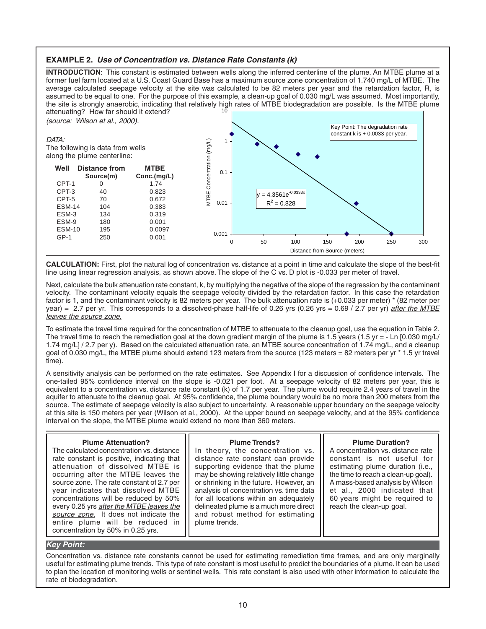#### **EXAMPLE 2. Use of Concentration vs. Distance Rate Constants (k)**

**INTRODUCTION**: This constant is estimated between wells along the inferred centerline of the plume. An MTBE plume at a former fuel farm located at a U.S. Coast Guard Base has a maximum source zone concentration of 1.740 mg/L of MTBE. The average calculated seepage velocity at the site was calculated to be 82 meters per year and the retardation factor, R, is assumed to be equal to one. For the purpose of this example, a clean-up goal of 0.030 mg/L was assumed. Most importantly, the site is strongly anaerobic, indicating that relatively high rates of MTBE biodegradation are possible. Is the MTBE plume attenuating? How far should it extend? 10

(source: Wilson et al., 2000).

#### DATA:

 $CPT-3$ 

The following is data from wells along the plume centerline:



**CALCULATION:** First, plot the natural log of concentration vs. distance at a point in time and calculate the slope of the best-fit line using linear regression analysis, as shown above. The slope of the C vs. D plot is -0.033 per meter of travel.

Next, calculate the bulk attenuation rate constant, k, by multiplying the negative of the slope of the regression by the contaminant velocity. The contaminant velocity equals the seepage velocity divided by the retardation factor. In this case the retardation factor is 1, and the contaminant velocity is 82 meters per year. The bulk attenuation rate is (+0.033 per meter) \* (82 meter per year) = 2.7 per yr. This corresponds to a dissolved-phase half-life of 0.26 yrs (0.26 yrs = 0.69 / 2.7 per yr) *after the MTBE* leaves the source zone.

To estimate the travel time required for the concentration of MTBE to attenuate to the cleanup goal, use the equation in Table 2. The travel time to reach the remediation goal at the down gradient margin of the plume is 1.5 years (1.5 yr = - Ln [0.030 mg/L/ 1.74 mg/L] / 2.7 per y). Based on the calculated attenuation rate, an MTBE source concentration of 1.74 mg/L, and a cleanup goal of 0.030 mg/L, the MTBE plume should extend 123 meters from the source (123 meters = 82 meters per yr \* 1.5 yr travel time).

A sensitivity analysis can be performed on the rate estimates. See Appendix I for a discussion of confidence intervals. The one-tailed 95% confidence interval on the slope is -0.021 per foot. At a seepage velocity of 82 meters per year, this is equivalent to a concentration vs. distance rate constant (k) of 1.7 per year. The plume would require 2.4 years of travel in the aquifer to attenuate to the cleanup goal. At 95% confidence, the plume boundary would be no more than 200 meters from the source. The estimate of seepage velocity is also subject to uncertainty. A reasonable upper boundary on the seepage velocity at this site is 150 meters per year (Wilson et al., 2000). At the upper bound on seepage velocity, and at the 95% confidence interval on the slope, the MTBE plume would extend no more than 360 meters.

#### **Plume Attenuation?**

The calculated concentration vs. distance rate constant is positive, indicating that attenuation of dissolved MTBE is occurring after the MTBE leaves the source zone. The rate constant of 2.7 per year indicates that dissolved MTBE concentrations will be reduced by 50% every 0.25 yrs after the MTBE leaves the source zone. It does not indicate the entire plume will be reduced in concentration by 50% in 0.25 yrs.

#### **Plume Trends?**

In theory, the concentration vs. distance rate constant can provide supporting evidence that the plume may be showing relatively little change or shrinking in the future. However, an analysis of concentration vs. time data for all locations within an adequately delineated plume is a much more direct and robust method for estimating plume trends.

#### **Plume Duration?**

A concentration vs. distance rate constant is not useful for estimating plume duration (i.e., the time to reach a clean-up goal). A mass-based analysis by Wilson et al., 2000 indicated that 60 years might be required to reach the clean-up goal.

#### **Key Point:**

Concentration vs. distance rate constants cannot be used for estimating remediation time frames, and are only marginally useful for estimating plume trends. This type of rate constant is most useful to predict the boundaries of a plume. It can be used to plan the location of monitoring wells or sentinel wells. This rate constant is also used with other information to calculate the rate of biodegradation.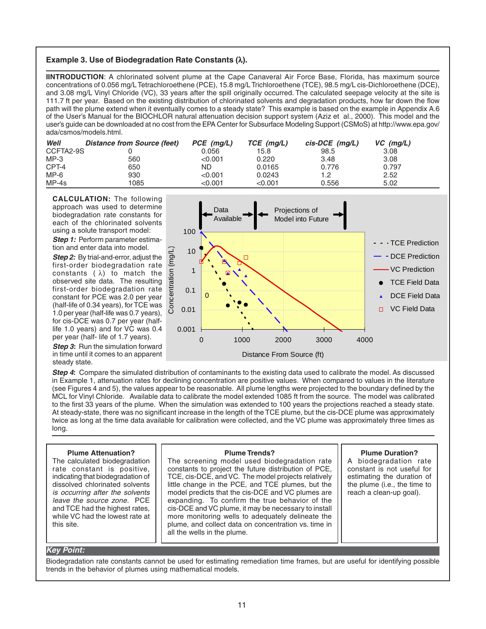#### **Example 3. Use of Biodegradation Rate Constants (**λ**).**

**IINTRODUCTION**: A chlorinated solvent plume at the Cape Canaveral Air Force Base, Florida, has maximum source concentrations of 0.056 mg/L Tetrachloroethene (PCE), 15.8 mg/L Trichloroethene (TCE), 98.5 mg/L cis-Dichloroethene (DCE), and 3.08 mg/L Vinyl Chloride (VC), 33 years after the spill originally occurred. The calculated seepage velocity at the site is 111.7 ft per year. Based on the existing distribution of chlorinated solvents and degradation products, how far down the flow path will the plume extend when it eventually comes to a steady state? This example is based on the example in Appendix A.6 of the User's Manual for the BIOCHLOR natural attenuation decision support system (Aziz et al., 2000). This model and the user's guide can be downloaded at no cost from the EPA Center for Subsurface Modeling Support (CSMoS) at http://www.epa.gov/ ada/csmos/models.html.

| Well      | Distance from Source (feet) | $PCE$ (mq/L) | TCE (mg/L) | $cis\text{-}DCE$ (mq/L) | $VC$ (mg/L) |
|-----------|-----------------------------|--------------|------------|-------------------------|-------------|
| CCFTA2-9S |                             | 0.056        | 15.8       | 98.5                    | 3.08        |
| $MP-3$    | 560                         | < 0.001      | 0.220      | 3.48                    | 3.08        |
| CPT-4     | 650                         | ND           | 0.0165     | 0.776                   | 0.797       |
| $MP-6$    | 930                         | < 0.001      | 0.0243     | 1.2                     | 2.52        |
| $MP-4s$   | 1085                        | <0.001       | < 0.001    | 0.556                   | 5.02        |

**CALCULATION:** The following approach was used to determine biodegradation rate constants for each of the chlorinated solvents using a solute transport model:

**Step 1:** Perform parameter estimation and enter data into model.

**Step 2:** By trial-and-error, adjust the first-order biodegradation rate constants  $(\lambda)$  to match the observed site data. The resulting first-order biodegradation rate constant for PCE was 2.0 per year (half-life of 0.34 years), for TCE was 1.0 per year (half-life was 0.7 years), for cis-DCE was 0.7 per year (halflife 1.0 years) and for VC was 0.4 per year (half- life of 1.7 years).

**Step 3:** Run the simulation forward in time until it comes to an apparent steady state.



**Step 4:** Compare the simulated distribution of contaminants to the existing data used to calibrate the model. As discussed in Example 1, attenuation rates for declining concentration are positive values. When compared to values in the literature (see Figures 4 and 5), the values appear to be reasonable. All plume lengths were projected to the boundary defined by the MCL for Vinyl Chloride. Available data to calibrate the model extended 1085 ft from the source. The model was calibrated to the first 33 years of the plume. When the simulation was extended to 100 years the projections reached a steady state. At steady-state, there was no significant increase in the length of the TCE plume, but the cis-DCE plume was approximately twice as long at the time data available for calibration were collected, and the VC plume was approximately three times as long.

| constants to project the future distribution of PCE,<br>TCE, cis-DCE, and VC. The model projects relatively<br>little change in the PCE, and TCE plumes, but the<br>model predicts that the cis-DCE and VC plumes are<br>expanding. To confirm the true behavior of the<br>cis-DCE and VC plume, it may be necessary to install<br>more monitoring wells to adequately delineate the<br>plume, and collect data on concentration vs. time in<br>all the wells in the plume. | constant is not useful for<br>estimating the duration of<br>the plume (i.e., the time to<br>reach a clean-up goal). |
|-----------------------------------------------------------------------------------------------------------------------------------------------------------------------------------------------------------------------------------------------------------------------------------------------------------------------------------------------------------------------------------------------------------------------------------------------------------------------------|---------------------------------------------------------------------------------------------------------------------|
|                                                                                                                                                                                                                                                                                                                                                                                                                                                                             |                                                                                                                     |

#### **Key Point:**

Biodegradation rate constants cannot be used for estimating remediation time frames, but are useful for identifying possible trends in the behavior of plumes using mathematical models.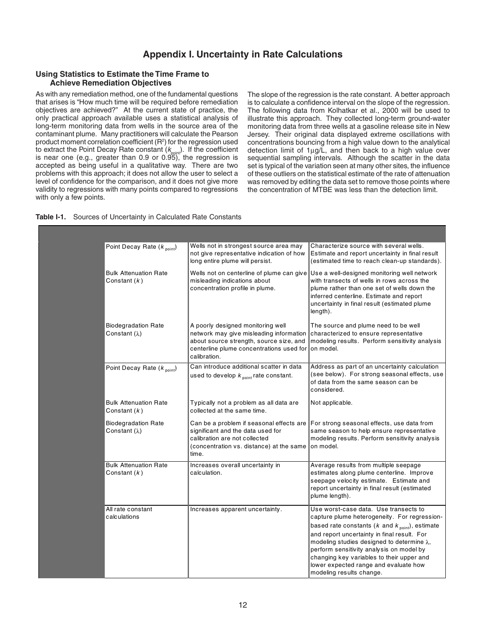# **Appendix I. Uncertainty in Rate Calculations**

#### **Using Statistics to Estimate the Time Frame to Achieve Remediation Objectives**

As with any remediation method, one of the fundamental questions that arises is "How much time will be required before remediation objectives are achieved?" At the current state of practice, the only practical approach available uses a statistical analysis of long-term monitoring data from wells in the source area of the contaminant plume. Many practitioners will calculate the Pearson product moment correlation coefficient ( $R<sup>2</sup>$ ) for the regression used to extract the Point Decay Rate constant ( $k_{\text{point}}$ ). If the coefficient is near one (e.g., greater than 0.9 or 0.95), the regression is accepted as being useful in a qualitative way. There are two problems with this approach; it does not allow the user to select a level of confidence for the comparison, and it does not give more validity to regressions with many points compared to regressions with only a few points.

The slope of the regression is the rate constant. A better approach is to calculate a confidence interval on the slope of the regression. The following data from Kolhatkar et al., 2000 will be used to illustrate this approach. They collected long-term ground-water monitoring data from three wells at a gasoline release site in New Jersey. Their original data displayed extreme oscillations with concentrations bouncing from a high value down to the analytical detection limit of 1µg/L, and then back to a high value over sequential sampling intervals. Although the scatter in the data set is typical of the variation seen at many other sites, the influence of these outliers on the statistical estimate of the rate of attenuation was removed by editing the data set to remove those points where the concentration of MTBE was less than the detection limit.

| <b>Table I-1.</b> Sources of Uncertainty in Calculated Rate Constants |  |  |  |  |  |
|-----------------------------------------------------------------------|--|--|--|--|--|
|-----------------------------------------------------------------------|--|--|--|--|--|

| Point Decay Rate $(k_{point})$                     | Wells not in strongest source area may<br>not give representative indication of how<br>long entire plume will persist.                                                              | Characterize source with several wells.<br>Estimate and report uncertainty in final result<br>(estimated time to reach clean-up standards).                                                                                                                                                                                                                                                                                 |
|----------------------------------------------------|-------------------------------------------------------------------------------------------------------------------------------------------------------------------------------------|-----------------------------------------------------------------------------------------------------------------------------------------------------------------------------------------------------------------------------------------------------------------------------------------------------------------------------------------------------------------------------------------------------------------------------|
| <b>Bulk Attenuation Rate</b><br>Constant $(k)$     | Wells not on centerline of plume can give<br>misleading indications about<br>concentration profile in plume.                                                                        | Use a well-designed monitoring well network<br>with transects of wells in rows across the<br>plume rather than one set of wells down the<br>inferred centerline. Estimate and report<br>uncertainty in final result (estimated plume<br>length).                                                                                                                                                                            |
| <b>Biodegradation Rate</b><br>Constant $(\lambda)$ | A poorly designed monitoring well<br>network may give misleading information<br>about source strength, source size, and<br>centerline plume concentrations used for<br>calibration. | The source and plume need to be well<br>characterized to ensure representative<br>modeling results. Perform sensitivity analysis<br>on model.                                                                                                                                                                                                                                                                               |
| Point Decay Rate $(k_{point})$                     | Can introduce additional scatter in data<br>used to develop $k_{\text{point}}$ rate constant.                                                                                       | Address as part of an uncertainty calculation<br>(see below). For strong seasonal effects, use<br>of data from the same season can be<br>considered.                                                                                                                                                                                                                                                                        |
| <b>Bulk Attenuation Rate</b><br>Constant $(k)$     | Typically not a problem as all data are<br>collected at the same time.                                                                                                              | Not applicable.                                                                                                                                                                                                                                                                                                                                                                                                             |
| <b>Biodegradation Rate</b><br>Constant $(\lambda)$ | significant and the data used for<br>calibration are not collected<br>(concentration vs. distance) at the same<br>time.                                                             | Can be a problem if seasonal effects are For strong seasonal effects, use data from<br>same season to help ensure representative<br>modeling results. Perform sensitivity analysis<br>lon model.                                                                                                                                                                                                                            |
| <b>Bulk Attenuation Rate</b><br>Constant $(k)$     | Increases overall uncertainty in<br>calculation.                                                                                                                                    | Average results from multiple seepage<br>estimates along plume centerline. Improve<br>seepage velocity estimate. Estimate and<br>report uncertainty in final result (estimated<br>plume length).                                                                                                                                                                                                                            |
| All rate constant<br>calculations                  | Increases apparent uncertainty.                                                                                                                                                     | Use worst-case data. Use transects to<br>capture plume heterogeneity. For regression-<br>based rate constants ( $k$ and $k$ <sub>point</sub> ), estimate<br>and report uncertainty in final result. For<br>modeling studies designed to determine $\lambda$ ,<br>perform sensitivity analysis on model by<br>changing key variables to their upper and<br>lower expected range and evaluate how<br>modeling results change. |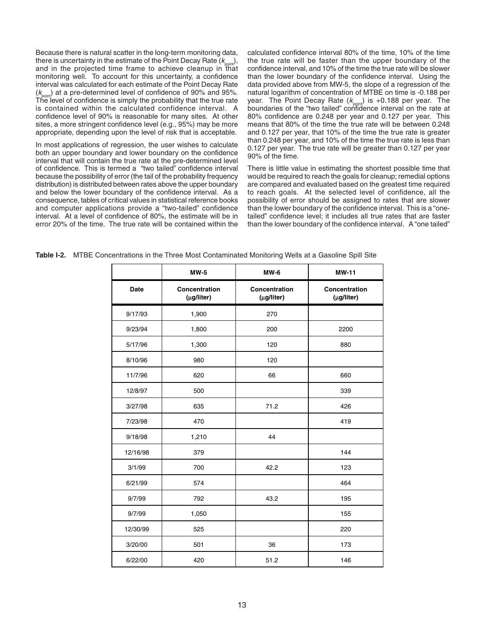Because there is natural scatter in the long-term monitoring data, there is uncertainty in the estimate of the Point Decay Rate  $(k_{\text{point}})$ , and in the projected time frame to achieve cleanup in that monitoring well. To account for this uncertainty, a confidence interval was calculated for each estimate of the Point Decay Rate  $(k_{\text{point}})$  at a pre-determined level of confidence of 90% and 95%. The level of confidence is simply the probability that the true rate is contained within the calculated confidence interval. A confidence level of 90% is reasonable for many sites. At other sites, a more stringent confidence level (e.g., 95%) may be more appropriate, depending upon the level of risk that is acceptable.

In most applications of regression, the user wishes to calculate both an upper boundary and lower boundary on the confidence interval that will contain the true rate at the pre-determined level of confidence. This is termed a "two tailed" confidence interval because the possibility of error (the tail of the probability frequency distribution) is distributed between rates above the upper boundary and below the lower boundary of the confidence interval. As a consequence, tables of critical values in statistical reference books and computer applications provide a "two-tailed" confidence interval. At a level of confidence of 80%, the estimate will be in error 20% of the time. The true rate will be contained within the

calculated confidence interval 80% of the time, 10% of the time the true rate will be faster than the upper boundary of the confidence interval, and 10% of the time the true rate will be slower than the lower boundary of the confidence interval. Using the data provided above from MW-5, the slope of a regression of the natural logarithm of concentration of MTBE on time is -0.188 per year. The Point Decay Rate ( $k_{point}$ ) is +0.188 per year. The boundaries of the "two tailed" confidence interval on the rate at 80% confidence are 0.248 per year and 0.127 per year. This means that 80% of the time the true rate will be between 0.248 and 0.127 per year, that 10% of the time the true rate is greater than 0.248 per year, and 10% of the time the true rate is less than 0.127 per year. The true rate will be greater than 0.127 per year 90% of the time.

There is little value in estimating the shortest possible time that would be required to reach the goals for cleanup; remedial options are compared and evaluated based on the greatest time required to reach goals. At the selected level of confidence, all the possibility of error should be assigned to rates that are slower than the lower boundary of the confidence interval. This is a "onetailed" confidence level; it includes all true rates that are faster than the lower boundary of the confidence interval. A "one tailed"

|             | $MW-5$                      | $MW-6$                      | <b>MW-11</b>                |
|-------------|-----------------------------|-----------------------------|-----------------------------|
| <b>Date</b> | Concentration<br>(µg/liter) | Concentration<br>(µg/liter) | Concentration<br>(µg/liter) |
| 9/17/93     | 1,900                       | 270                         |                             |
| 9/23/94     | 1,800                       | 200                         | 2200                        |
| 5/17/96     | 1,300                       | 120                         | 880                         |
| 8/10/96     | 980                         | 120                         |                             |
| 11/7/96     | 620                         | 66                          | 660                         |
| 12/8/97     | 500                         |                             | 339                         |
| 3/27/98     | 635                         | 71.2                        | 426                         |
| 7/23/98     | 470                         |                             | 419                         |
| 9/18/98     | 1,210                       | 44                          |                             |
| 12/16/98    | 379                         |                             | 144                         |
| 3/1/99      | 700                         | 42.2                        | 123                         |
| 6/21/99     | 574                         |                             | 464                         |
| 9/7/99      | 792                         | 43.2                        | 195                         |
| 9/7/99      | 1,050                       |                             | 155                         |
| 12/30/99    | 525                         |                             | 220                         |
| 3/20/00     | 501                         | 36                          | 173                         |
| 6/22/00     | 420                         | 51.2                        | 146                         |

**Table I-2.** MTBE Concentrations in the Three Most Contaminated Monitoring Wells at a Gasoline Spill Site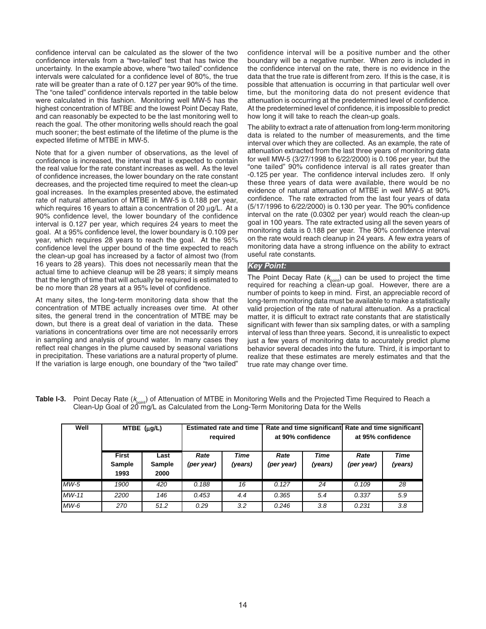confidence interval can be calculated as the slower of the two confidence intervals from a "two-tailed" test that has twice the uncertainty. In the example above, where "two tailed" confidence intervals were calculated for a confidence level of 80%, the true rate will be greater than a rate of 0.127 per year 90% of the time. The "one tailed" confidence intervals reported in the table below were calculated in this fashion. Monitoring well MW-5 has the highest concentration of MTBE and the lowest Point Decay Rate, and can reasonably be expected to be the last monitoring well to reach the goal. The other monitoring wells should reach the goal much sooner; the best estimate of the lifetime of the plume is the expected lifetime of MTBE in MW-5.

Note that for a given number of observations, as the level of confidence is increased, the interval that is expected to contain the real value for the rate constant increases as well. As the level of confidence increases, the lower boundary on the rate constant decreases, and the projected time required to meet the clean-up goal increases. In the examples presented above, the estimated rate of natural attenuation of MTBE in MW-5 is 0.188 per year, which requires 16 years to attain a concentration of 20 µg/L. At a 90% confidence level, the lower boundary of the confidence interval is 0.127 per year, which requires 24 years to meet the goal. At a 95% confidence level, the lower boundary is 0.109 per year, which requires 28 years to reach the goal. At the 95% confidence level the upper bound of the time expected to reach the clean-up goal has increased by a factor of almost two (from 16 years to 28 years). This does not necessarily mean that the actual time to achieve cleanup will be 28 years; it simply means that the length of time that will actually be required is estimated to be no more than 28 years at a 95% level of confidence.

At many sites, the long-term monitoring data show that the concentration of MTBE actually increases over time. At other sites, the general trend in the concentration of MTBE may be down, but there is a great deal of variation in the data. These variations in concentrations over time are not necessarily errors in sampling and analysis of ground water. In many cases they reflect real changes in the plume caused by seasonal variations in precipitation. These variations are a natural property of plume. If the variation is large enough, one boundary of the "two tailed"

confidence interval will be a positive number and the other boundary will be a negative number. When zero is included in the confidence interval on the rate, there is no evidence in the data that the true rate is different from zero. If this is the case, it is possible that attenuation is occurring in that particular well over time, but the monitoring data do not present evidence that attenuation is occurring at the predetermined level of confidence. At the predetermined level of confidence, it is impossible to predict how long it will take to reach the clean-up goals.

The ability to extract a rate of attenuation from long-term monitoring data is related to the number of measurements, and the time interval over which they are collected. As an example, the rate of attenuation extracted from the last three years of monitoring data for well MW-5 (3/27/1998 to 6/22/2000) is 0.106 per year, but the "one tailed" 90% confidence interval is all rates greater than -0.125 per year. The confidence interval includes zero. If only these three years of data were available, there would be no evidence of natural attenuation of MTBE in well MW-5 at 90% confidence. The rate extracted from the last four years of data (5/17/1996 to 6/22/2000) is 0.130 per year. The 90% confidence interval on the rate (0.0302 per year) would reach the clean-up goal in 100 years. The rate extracted using all the seven years of monitoring data is 0.188 per year. The 90% confidence interval on the rate would reach cleanup in 24 years. A few extra years of monitoring data have a strong influence on the ability to extract useful rate constants.

#### **Key Point:**

The Point Decay Rate  $(k_{point})$  can be used to project the time required for reaching a clean-up goal. However, there are a number of points to keep in mind. First, an appreciable record of long-term monitoring data must be available to make a statistically valid projection of the rate of natural attenuation. As a practical matter, it is difficult to extract rate constants that are statistically significant with fewer than six sampling dates, or with a sampling interval of less than three years. Second, it is unrealistic to expect just a few years of monitoring data to accurately predict plume behavior several decades into the future. Third, it is important to realize that these estimates are merely estimates and that the true rate may change over time.

| Well    |                                | $MTEE$ ( $\mu$ g/L)           |                    | <b>Estimated rate and time</b><br>required |                    | Rate and time significant Rate and time significant<br>at 90% confidence |                    | at 95% confidence |
|---------|--------------------------------|-------------------------------|--------------------|--------------------------------------------|--------------------|--------------------------------------------------------------------------|--------------------|-------------------|
|         | <b>First</b><br>Sample<br>1993 | Last<br><b>Sample</b><br>2000 | Rate<br>(per year) | Time<br>(years)                            | Rate<br>(per year) | Time<br>(years)                                                          | Rate<br>(per year) | Time<br>(years)   |
| $MW-5$  | 1900                           | 420                           | 0.188              | 16                                         | 0.127              | 24                                                                       | 0.109              | 28                |
| $MW-11$ | 2200                           | 146                           | 0.453              | 4.4                                        | 0.365              | 5.4                                                                      | 0.337              | 5.9               |
| $MW-6$  | 270                            | 51.2                          | 0.29               | 3.2                                        | 0.246              | 3.8                                                                      | 0.231              | 3.8               |

| Table I-3. Point Decay Rate (K <sub>oois</sub> ) of Attenuation of MTBE in Monitoring Wells and the Projected Time Required to Reach a |
|----------------------------------------------------------------------------------------------------------------------------------------|
| Clean-Up Goal of 20 mg/L as Calculated from the Long-Term Monitoring Data for the Wells                                                |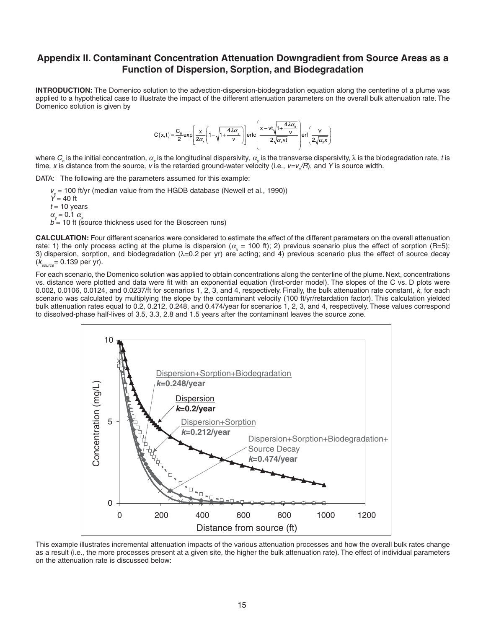# **Appendix II. Contaminant Concentration Attenuation Downgradient from Source Areas as a Function of Dispersion, Sorption, and Biodegradation**

**INTRODUCTION:** The Domenico solution to the advection-dispersion-biodegradation equation along the centerline of a plume was applied to a hypothetical case to illustrate the impact of the different attenuation parameters on the overall bulk attenuation rate. The Domenico solution is given by

$$
C(x,t) = \frac{C_0}{2} \exp\left[\frac{x}{2\alpha_x} \left(1 - \sqrt{1 + \frac{4\lambda\alpha_x}{v}}\right)\right] \text{erfc}\left(\frac{x - vt\sqrt{1 + \frac{4\lambda\alpha_x}{v}}}{2\sqrt{\alpha_x vt}}\right) \text{erf}\left(\frac{Y}{2\sqrt{\alpha_x x}}\right)
$$

where  $C_o$  is the initial concentration,  $\alpha_{\rm x}$  is the longitudinal dispersivity,  $\alpha_{\rm y}$  is the transverse dispersivity,  $\lambda$  is the biodegradation rate, t is time, x is distance from the source, v is the retarded ground-water velocity (i.e., v=v<sub>s</sub>/R), and Y is source width.

DATA: The following are the parameters assumed for this example:

 $v<sub>s</sub>$  = 100 ft/yr (median value from the HGDB database (Newell et al., 1990))  $\bar{Y}$  = 40 ft  $t = 10$  years  $\alpha_{u} = 0.1 \alpha_{u}$  $b = 10$  ft (source thickness used for the Bioscreen runs)

**CALCULATION:** Four different scenarios were considered to estimate the effect of the different parameters on the overall attenuation rate: 1) the only process acting at the plume is dispersion ( $\alpha_z$  = 100 ft); 2) previous scenario plus the effect of sorption (R=5); 3) dispersion, sorption, and biodegradation (λ=0.2 per yr) are acting; and 4) previous scenario plus the effect of source decay  $(k_{\text{source}} = 0.139 \text{ per yr}).$ 

For each scenario, the Domenico solution was applied to obtain concentrations along the centerline of the plume. Next, concentrations vs. distance were plotted and data were fit with an exponential equation (first-order model). The slopes of the C vs. D plots were 0.002, 0.0106, 0.0124, and 0.0237/ft for scenarios 1, 2, 3, and 4, respectively. Finally, the bulk attenuation rate constant, k, for each scenario was calculated by multiplying the slope by the contaminant velocity (100 ft/yr/retardation factor). This calculation yielded bulk attenuation rates equal to 0.2, 0.212, 0.248, and 0.474/year for scenarios 1, 2, 3, and 4, respectively. These values correspond to dissolved-phase half-lives of 3.5, 3.3, 2.8 and 1.5 years after the contaminant leaves the source zone.



This example illustrates incremental attenuation impacts of the various attenuation processes and how the overall bulk rates change as a result (i.e., the more processes present at a given site, the higher the bulk attenuation rate). The effect of individual parameters on the attenuation rate is discussed below: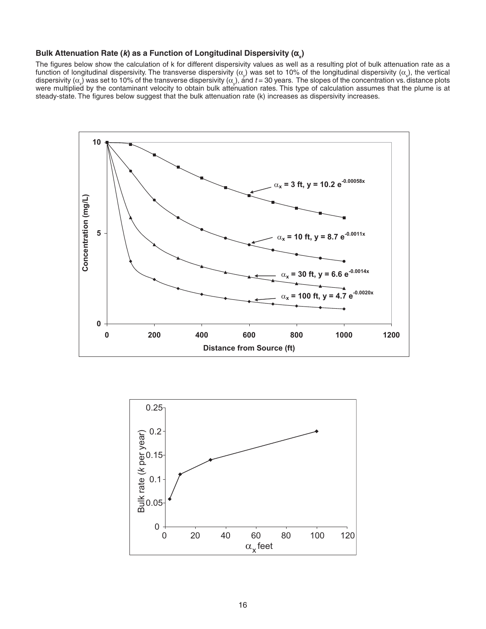# **Bulk Attenuation Rate (***k***) as a Function of Longitudinal Dispersivity (α<sub>x</sub>)**

The figures below show the calculation of k for different dispersivity values as well as a resulting plot of bulk attenuation rate as a function of longitudinal dispersivity. The transverse dispersivity (α<sub>χ</sub>) was set to 10% of the longitudinal dispersivity (α<sub>χ</sub>), the vertical dispersivity ( $\alpha$ <sub>2</sub>) was set to 10% of the transverse dispersivity ( $\alpha$ <sub>y</sub>), and t = 30 years. The slopes of the concentration vs. distance plots were multiplied by the contaminant velocity to obtain bulk attenuation rates. This type of calculation assumes that the plume is at steady-state. The figures below suggest that the bulk attenuation rate (k) increases as dispersivity increases.



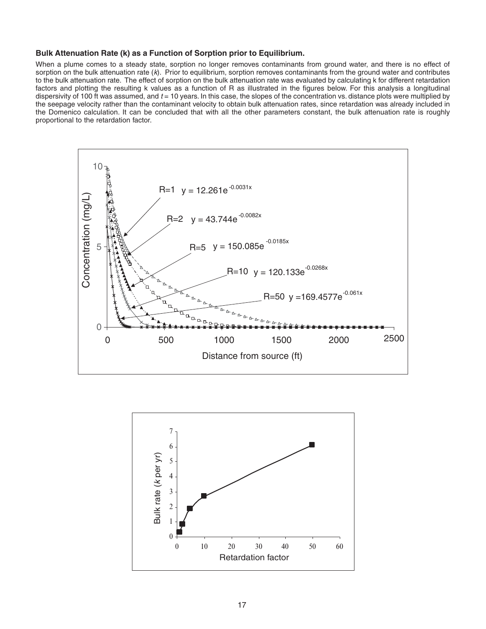#### **Bulk Attenuation Rate (k) as a Function of Sorption prior to Equilibrium.**

When a plume comes to a steady state, sorption no longer removes contaminants from ground water, and there is no effect of sorption on the bulk attenuation rate  $(k)$ . Prior to equilibrium, sorption removes contaminants from the ground water and contributes to the bulk attenuation rate. The effect of sorption on the bulk attenuation rate was evaluated by calculating k for different retardation factors and plotting the resulting k values as a function of R as illustrated in the figures below. For this analysis a longitudinal dispersivity of 100 ft was assumed, and  $t = 10$  years. In this case, the slopes of the concentration vs. distance plots were multiplied by the seepage velocity rather than the contaminant velocity to obtain bulk attenuation rates, since retardation was already included in the Domenico calculation. It can be concluded that with all the other parameters constant, the bulk attenuation rate is roughly proportional to the retardation factor.



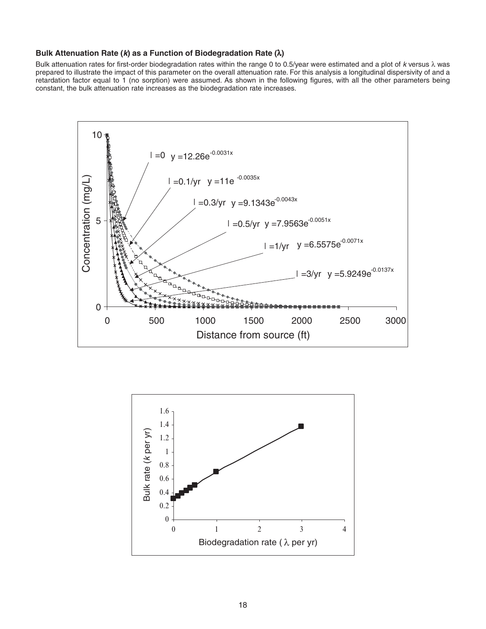#### **Bulk Attenuation Rate (k) as a Function of Biodegradation Rate (**λ**)**

Bulk attenuation rates for first-order biodegradation rates within the range 0 to 0.5/year were estimated and a plot of  $k$  versus  $\lambda$  was prepared to illustrate the impact of this parameter on the overall attenuation rate. For this analysis a longitudinal dispersivity of and a retardation factor equal to 1 (no sorption) were assumed. As shown in the following figures, with all the other parameters being constant, the bulk attenuation rate increases as the biodegradation rate increases.



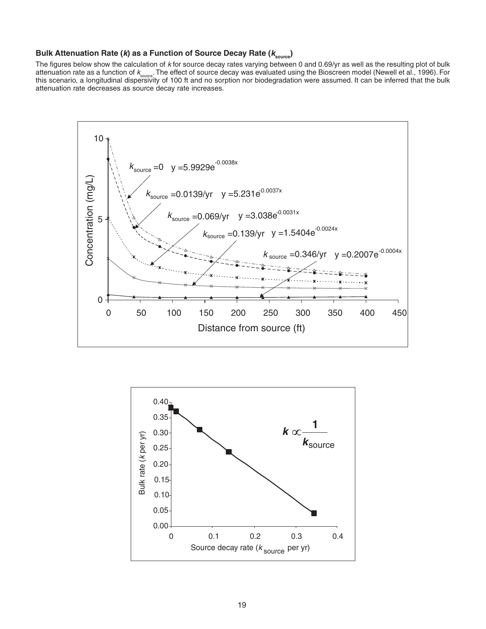# **Bulk Attenuation Rate (k) as a Function of Source Decay Rate (ksource )**

The figures below show the calculation of  $k$  for source decay rates varying between 0 and 0.69/yr as well as the resulting plot of bulk attenuation rate as a function of k<sub>soure</sub>. The effect of source decay was evaluated using the Bioscreen model (Newell et al., 1996). For<br>this scenario, a longitudinal dispersivity of 100 ft and no sorption nor biodegradat attenuation rate decreases as source decay rate increases.



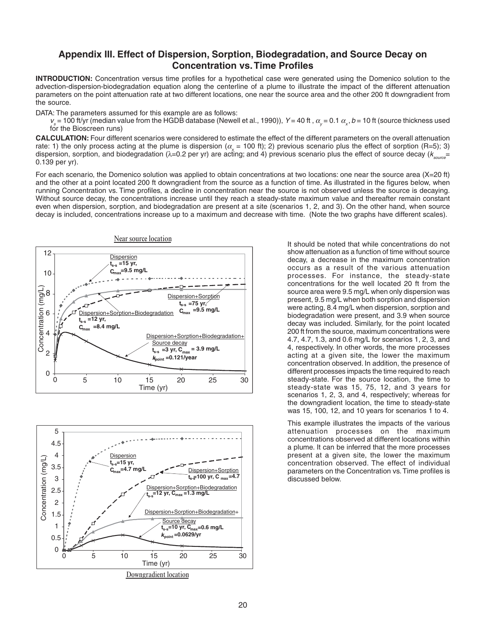# **Appendix III. Effect of Dispersion, Sorption, Biodegradation, and Source Decay on Concentration vs.Time Profiles**

**INTRODUCTION:** Concentration versus time profiles for a hypothetical case were generated using the Domenico solution to the advection-dispersion-biodegradation equation along the centerline of a plume to illustrate the impact of the different attenuation parameters on the point attenuation rate at two different locations, one near the source area and the other 200 ft downgradient from the source.

DATA: The parameters assumed for this example are as follows:

 $v_s$  = 100 ft/yr (median value from the HGDB database (Newell et al., 1990)), Y = 40 ft ,  $\alpha_y$  = 0.1  $\alpha_x$ , b = 10 ft (source thickness used for the Bioscreen runs)

**CALCULATION:** Four different scenarios were considered to estimate the effect of the different parameters on the overall attenuation rate: 1) the only process acting at the plume is dispersion ( $\alpha = 100$  ft); 2) previous scenario plus the effect of sorption (R=5); 3) dispersion, sorption, and biodegradation ( $\lambda$ =0.2 per yr) are acting; and 4) previous scenario plus the effect of source decay ( $k_{\text{max}}$ = 0.139 per yr).

For each scenario, the Domenico solution was applied to obtain concentrations at two locations: one near the source area (X=20 ft) and the other at a point located 200 ft downgradient from the source as a function of time. As illustrated in the figures below, when running Concentration vs. Time profiles, a decline in concentration near the source is not observed unless the source is decaying. Without source decay, the concentrations increase until they reach a steady-state maximum value and thereafter remain constant even when dispersion, sorption, and biodegradation are present at a site (scenarios 1, 2, and 3). On the other hand, when source decay is included, concentrations increase up to a maximum and decrease with time. (Note the two graphs have different scales).





It should be noted that while concentrations do not show attenuation as a function of time without source decay, a decrease in the maximum concentration occurs as a result of the various attenuation processes. For instance, the steady-state concentrations for the well located 20 ft from the source area were 9.5 mg/L when only dispersion was present, 9.5 mg/L when both sorption and dispersion were acting, 8.4 mg/L when dispersion, sorption and biodegradation were present, and 3.9 when source decay was included. Similarly, for the point located 200 ft from the source, maximum concentrations were 4.7, 4.7, 1.3, and 0.6 mg/L for scenarios 1, 2, 3, and 4, respectively. In other words, the more processes acting at a given site, the lower the maximum concentration observed. In addition, the presence of different processes impacts the time required to reach steady-state. For the source location, the time to steady-state was 15, 75, 12, and 3 years for scenarios 1, 2, 3, and 4, respectively; whereas for the downgradient location, the time to steady-state was 15, 100, 12, and 10 years for scenarios 1 to 4.

This example illustrates the impacts of the various attenuation processes on the maximum concentrations observed at different locations within a plume. It can be inferred that the more processes present at a given site, the lower the maximum concentration observed. The effect of individual parameters on the Concentration vs.Time profiles is discussed below.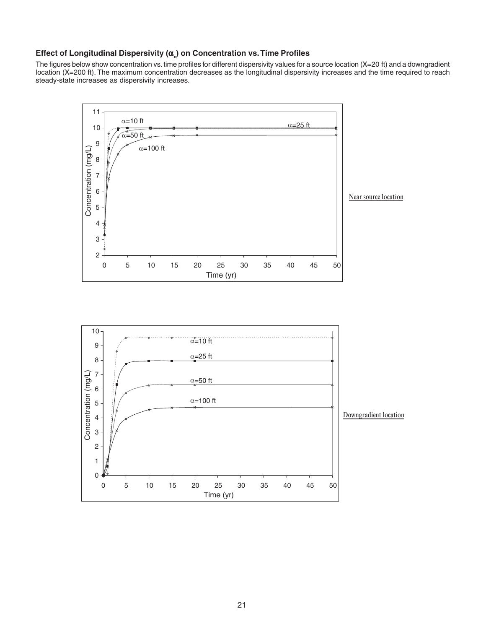# **Effect of Longitudinal Dispersivity (α<sub>x</sub>) on Concentration vs. Time Profiles**

The figures below show concentration vs. time profiles for different dispersivity values for a source location (X=20 ft) and a downgradient location (X=200 ft). The maximum concentration decreases as the longitudinal dispersivity increases and the time required to reach steady-state increases as dispersivity increases.



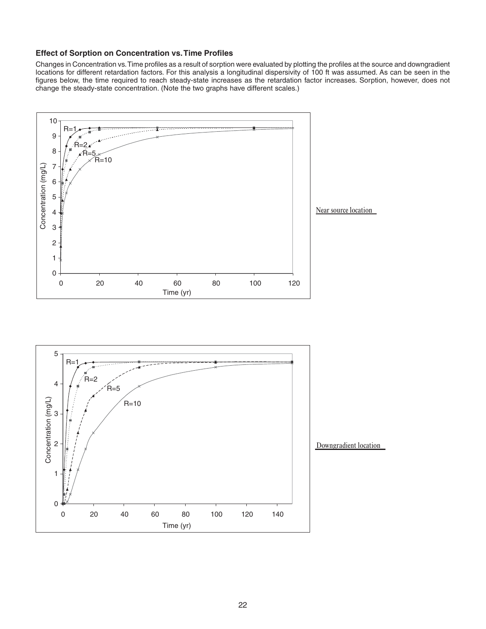#### **Effect of Sorption on Concentration vs.Time Profiles**

Changes in Concentration vs.Time profiles as a result of sorption were evaluated by plotting the profiles at the source and downgradient locations for different retardation factors. For this analysis a longitudinal dispersivity of 100 ft was assumed. As can be seen in the figures below, the time required to reach steady-state increases as the retardation factor increases. Sorption, however, does not change the steady-state concentration. (Note the two graphs have different scales.)



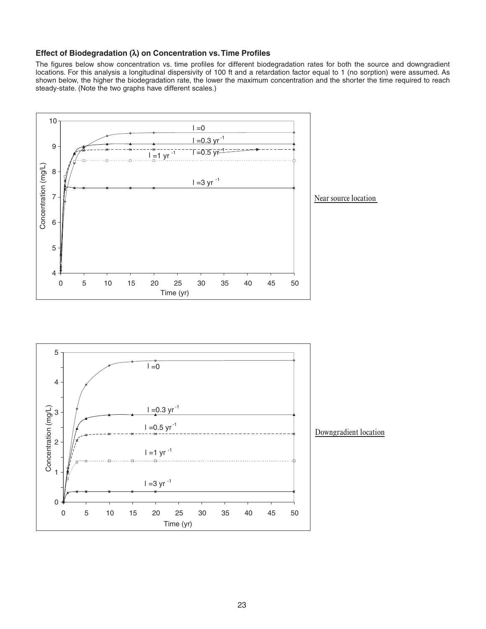#### **Effect of Biodegradation (**λ**) on Concentration vs.Time Profiles**

The figures below show concentration vs. time profiles for different biodegradation rates for both the source and downgradient locations. For this analysis a longitudinal dispersivity of 100 ft and a retardation factor equal to 1 (no sorption) were assumed. As shown below, the higher the biodegradation rate, the lower the maximum concentration and the shorter the time required to reach steady-state. (Note the two graphs have different scales.)



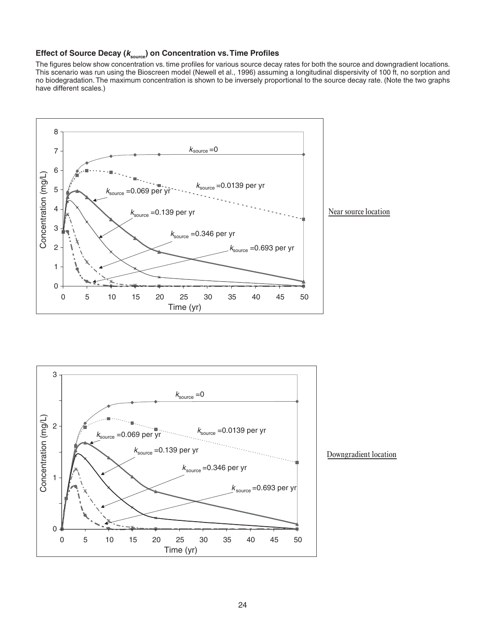# **Effect of Source Decay (ksource ) on Concentration vs.Time Profiles**

The figures below show concentration vs. time profiles for various source decay rates for both the source and downgradient locations. This scenario was run using the Bioscreen model (Newell et al., 1996) assuming a longitudinal dispersivity of 100 ft, no sorption and no biodegradation. The maximum concentration is shown to be inversely proportional to the source decay rate. (Note the two graphs have different scales.)





#### Downgradient location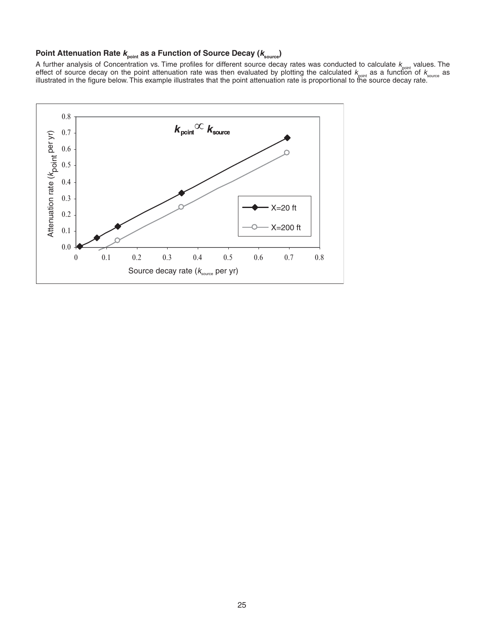# **Point Attenuation Rate kpoint as a Function of Source Decay (ksource )**

A further analysis of Concentration vs. Time profiles for different source decay rates was conducted to calculate  $k_{\text{point}}$  values. The<br>effect of source decay on the point attenuation rate was then evaluated by plotting t

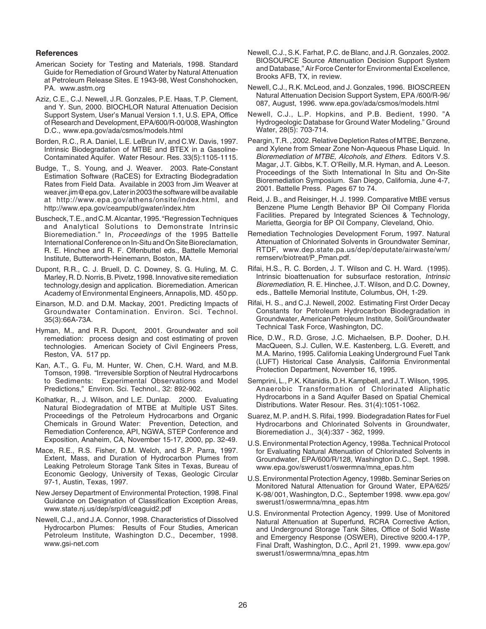#### **References**

- American Society for Testing and Materials, 1998. Standard Guide for Remediation of Ground Water by Natural Attenuation at Petroleum Release Sites. E 1943-98, West Conshohocken, PA. www.astm.org
- Aziz, C.E., C.J. Newell, J.R. Gonzales, P.E. Haas, T.P. Clement, and Y. Sun, 2000. BIOCHLOR Natural Attenuation Decision Support System, User's Manual Version 1.1, U.S. EPA, Office of Research and Development, EPA/600/R-00/008, Washington D.C., www.epa.gov/ada/csmos/models.html
- Borden, R.C., R.A. Daniel, L.E. LeBrun IV, and C.W. Davis, 1997. Intrinsic Biodegradation of MTBE and BTEX in a Gasoline-Contaminated Aquifer. Water Resour. Res. 33(5):1105-1115.
- Budge, T., S. Young, and J. Weaver. 2003. Rate-Constant Estimation Software (RaCES) for Extracting Biodegradation Rates from Field Data. Available in 2003 from Jim Weaver at weaver.jim@epa.gov, Later in 2003 the software will be available at http://www.epa.gov/athens/onsite/index.html, and http://www.epa.gov/ceampubl/gwater/index.htm
- Buscheck, T.E., and C.M. Alcantar, 1995. "Regression Techniques and Analytical Solutions to Demonstrate Intrinsic Bioremediation." In, Proceedings of the 1995 Battelle International Conference on In-Situ and On Site Bioreclamation, R. E. Hinchee and R. F. Olfenbuttel eds., Battelle Memorial Institute, Butterworth-Heinemann, Boston, MA.
- Dupont, R.R., C. J. Bruell, D. C. Downey, S. G. Huling, M. C. Marley, R. D. Norris, B. Pivetz, 1998. Innovative site remediation technology,design and application. Bioremediation. American Academy of Environmental Engineers, Annapolis, MD. 450 pp.
- Einarson, M.D. and D.M. Mackay, 2001. Predicting Impacts of Groundwater Contamination. Environ. Sci. Technol. 35(3):66A-73A.
- Hyman, M., and R.R. Dupont, 2001. Groundwater and soil remediation: process design and cost estimating of proven technologies. American Society of Civil Engineers Press, Reston, VA. 517 pp.
- Kan, A.T., G. Fu, M. Hunter, W. Chen, C.H. Ward, and M.B. Tomson, 1998. "Irreversible Sorption of Neutral Hydrocarbons to Sediments: Experimental Observations and Model Predictions," Environ. Sci. Technol., 32: 892-902.
- Kolhatkar, R., J. Wilson, and L.E. Dunlap. 2000. Evaluating Natural Biodegradation of MTBE at Multiple UST Sites. Proceedings of the Petroleum Hydrocarbons and Organic Chemicals in Ground Water: Prevention, Detection, and Remediation Conference, API, NGWA, STEP Conference and Exposition, Anaheim, CA, November 15-17, 2000, pp. 32-49.
- Mace, R.E., R.S. Fisher, D.M. Welch, and S.P. Parra, 1997. Extent, Mass, and Duration of Hydrocarbon Plumes from Leaking Petroleum Storage Tank Sites in Texas, Bureau of Economic Geology, University of Texas, Geologic Circular 97-1, Austin, Texas, 1997.
- New Jersey Department of Environmental Protection, 1998. Final Guidance on Designation of Classification Exception Areas, www.state.nj.us/dep/srp/dl/ceaguid2.pdf
- Newell, C.J., and J.A. Connor, 1998. Characteristics of Dissolved Hydrocarbon Plumes: Results of Four Studies, American Petroleum Institute, Washington D.C., December, 1998. www.gsi-net.com
- Newell, C.J., S.K. Farhat, P.C. de Blanc, and J.R. Gonzales, 2002. BIOSOURCE Source Attenuation Decision Support System and Database," Air Force Center for Environmental Excellence, Brooks AFB, TX, in review.
- Newell, C.J., R.K. McLeod, and J. Gonzales, 1996. BIOSCREEN Natural Attenuation Decision Support System, EPA /600/R-96/ 087, August, 1996. www.epa.gov/ada/csmos/models.html
- Newell, C.J., L.P. Hopkins, and P.B. Bedient, 1990. "A Hydrogeologic Database for Ground Water Modeling." Ground Water, 28(5): 703-714.
- Peargin, T.R. , 2002. Relative Depletion Rates of MTBE, Benzene, and Xylene from Smear Zone Non-Aqueous Phase Liquid. In Bioremediation of MTBE, Alcohols, and Ethers. Editors V.S. Magar, J.T. Gibbs, K.T. O'Reilly, M.R. Hyman, and A. Leeson. Proceedings of the Sixth International In Situ and On-Site Bioremediation Symposium. San Diego, California, June 4-7, 2001. Battelle Press. Pages 67 to 74.
- Reid, J. B., and Reisinger, H. J. 1999. Comparative MtBE versus Benzene Plume Length Behavior BP Oil Company Florida Facilities. Prepared by Integrated Sciences & Technology, Marietta, Georgia for BP Oil Company, Cleveland, Ohio.
- Remediation Technologies Development Forum, 1997. Natural Attenuation of Chlorinated Solvents in Groundwater Seminar, RTDF, www.dep.state.pa.us/dep/deputate/airwaste/wm/ remserv/biotreat/P\_Pman.pdf.
- Rifai, H.S., R. C. Borden, J. T. Wilson and C. H. Ward. (1995). Intrinsic bioattenuation for subsurface restoration, Intrinsic Bioremediation, R. E. Hinchee, J.T. Wilson, and D.C. Downey, eds., Battelle Memorial Institute, Columbus, OH, 1-29.
- Rifai, H. S., and C.J. Newell, 2002. Estimating First Order Decay Constants for Petroleum Hydrocarbon Biodegradation in Groundwater, American Petroleum Institute, Soil/Groundwater Technical Task Force, Washington, DC.
- Rice, D.W., R.D. Grose, J.C. Michaelsen, B.P. Dooher, D.H. MacQueen, S.J. Cullen, W.E. Kastenberg, L.G. Everett, and M.A. Marino, 1995. California Leaking Underground Fuel Tank (LUFT) Historical Case Analysis, California Environmental Protection Department, November 16, 1995.
- Semprini, L., P.K. Kitanidis, D.H. Kampbell, and J.T. Wilson, 1995. Anaerobic Transformation of Chlorinated Aliphatic Hydrocarbons in a Sand Aquifer Based on Spatial Chemical Distributions. Water Resour. Res. 31(4):1051-1062.
- Suarez, M. P. and H. S. Rifai, 1999. Biodegradation Rates for Fuel Hydrocarbons and Chlorinated Solvents in Groundwater, Bioremediation J., 3(4):337 - 362, 1999.
- U.S. Environmental Protection Agency, 1998a. Technical Protocol for Evaluating Natural Attenuation of Chlorinated Solvents in Groundwater, EPA/600/R/128, Washington D.C., Sept. 1998. www.epa.gov/swerust1/oswermna/mna\_epas.htm
- U.S. Environmental Protection Agency, 1998b. Seminar Series on Monitored Natural Attenuation for Ground Water, EPA/625/ K-98/ 001, Washington, D.C., September 1998. www.epa.gov/ swerust1/oswermna/mna\_epas.htm
- U.S. Environmental Protection Agency, 1999. Use of Monitored Natural Attenuation at Superfund, RCRA Corrective Action, and Underground Storage Tank Sites, Office of Solid Waste and Emergency Response (OSWER), Directive 9200.4-17P, Final Draft, Washington, D.C., April 21, 1999. www.epa.gov/ swerust1/oswermna/mna\_epas.htm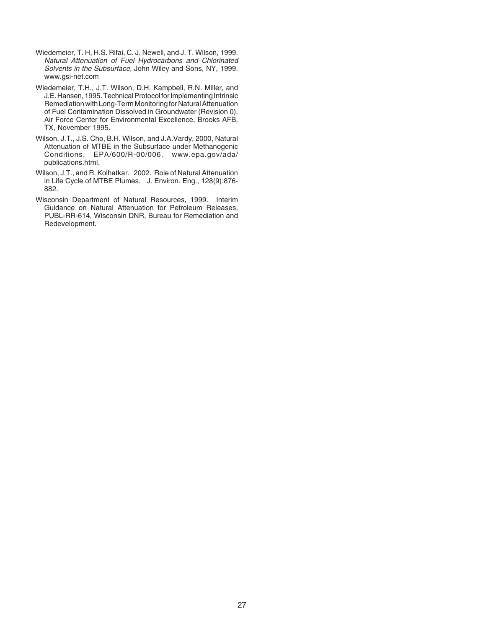- Wiedemeier, T. H, H.S. Rifai, C. J. Newell, and J. T. Wilson, 1999. Natural Attenuation of Fuel Hydrocarbons and Chlorinated Solvents in the Subsurface, John Wiley and Sons, NY, 1999. www.gsi-net.com
- Wiedemeier, T.H., J.T. Wilson, D.H. Kampbell, R.N. Miller, and J.E. Hansen, 1995. Technical Protocol for Implementing Intrinsic Remediation with Long-Term Monitoring for Natural Attenuation of Fuel Contamination Dissolved in Groundwater (Revision 0), Air Force Center for Environmental Excellence, Brooks AFB, TX, November 1995.
- Wilson, J.T., J.S. Cho, B.H. Wilson, and J.A.Vardy, 2000, Natural Attenuation of MTBE in the Subsurface under Methanogenic Conditions, EPA/600/R-00/006, www.epa.gov/ada/ publications.html.
- Wilson, J.T., and R. Kolhatkar. 2002. Role of Natural Attenuation in Life Cycle of MTBE Plumes. J. Environ. Eng., 128(9):876- 882.
- Wisconsin Department of Natural Resources, 1999. Interim Guidance on Natural Attenuation for Petroleum Releases, PUBL-RR-614, Wisconsin DNR, Bureau for Remediation and Redevelopment.